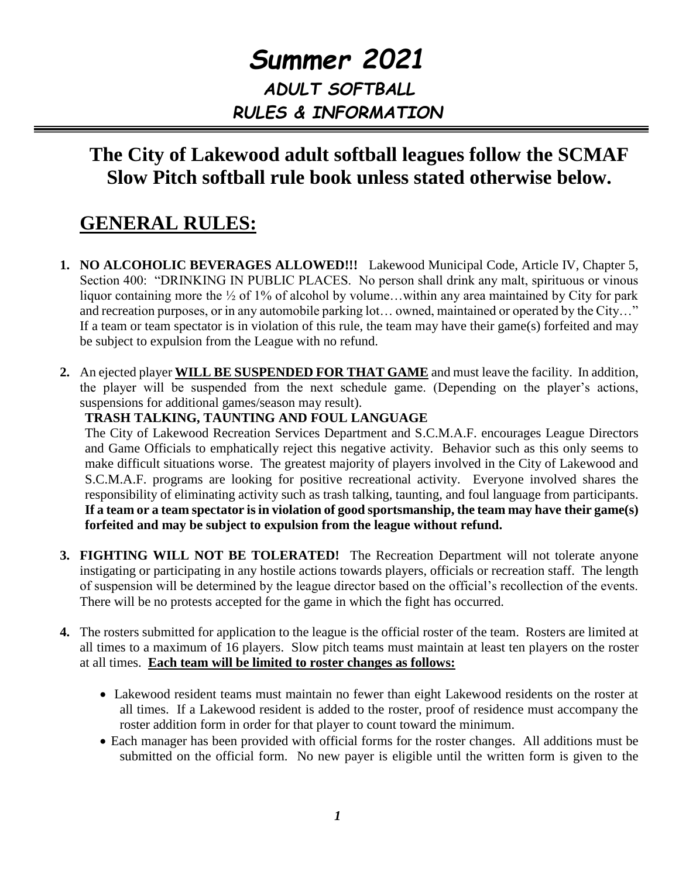# *Summer 2021 ADULT SOFTBALL RULES & INFORMATION*

## **The City of Lakewood adult softball leagues follow the SCMAF Slow Pitch softball rule book unless stated otherwise below.**

# **GENERAL RULES:**

- **1. NO ALCOHOLIC BEVERAGES ALLOWED!!!** Lakewood Municipal Code, Article IV, Chapter 5, Section 400: "DRINKING IN PUBLIC PLACES. No person shall drink any malt, spirituous or vinous liquor containing more the ½ of 1% of alcohol by volume...within any area maintained by City for park and recreation purposes, or in any automobile parking lot… owned, maintained or operated by the City…" If a team or team spectator is in violation of this rule, the team may have their game(s) forfeited and may be subject to expulsion from the League with no refund.
- **2.** An ejected player **WILL BE SUSPENDED FOR THAT GAME** and must leave the facility. In addition, the player will be suspended from the next schedule game. (Depending on the player's actions, suspensions for additional games/season may result).

### **TRASH TALKING, TAUNTING AND FOUL LANGUAGE**

The City of Lakewood Recreation Services Department and S.C.M.A.F. encourages League Directors and Game Officials to emphatically reject this negative activity. Behavior such as this only seems to make difficult situations worse. The greatest majority of players involved in the City of Lakewood and S.C.M.A.F. programs are looking for positive recreational activity. Everyone involved shares the responsibility of eliminating activity such as trash talking, taunting, and foul language from participants. **If a team or a team spectator is in violation of good sportsmanship, the team may have their game(s) forfeited and may be subject to expulsion from the league without refund.**

- **3. FIGHTING WILL NOT BE TOLERATED!** The Recreation Department will not tolerate anyone instigating or participating in any hostile actions towards players, officials or recreation staff. The length of suspension will be determined by the league director based on the official's recollection of the events. There will be no protests accepted for the game in which the fight has occurred.
- **4.** The rosters submitted for application to the league is the official roster of the team. Rosters are limited at all times to a maximum of 16 players. Slow pitch teams must maintain at least ten players on the roster at all times. **Each team will be limited to roster changes as follows:**
	- Lakewood resident teams must maintain no fewer than eight Lakewood residents on the roster at all times. If a Lakewood resident is added to the roster, proof of residence must accompany the roster addition form in order for that player to count toward the minimum.
	- Each manager has been provided with official forms for the roster changes. All additions must be submitted on the official form. No new payer is eligible until the written form is given to the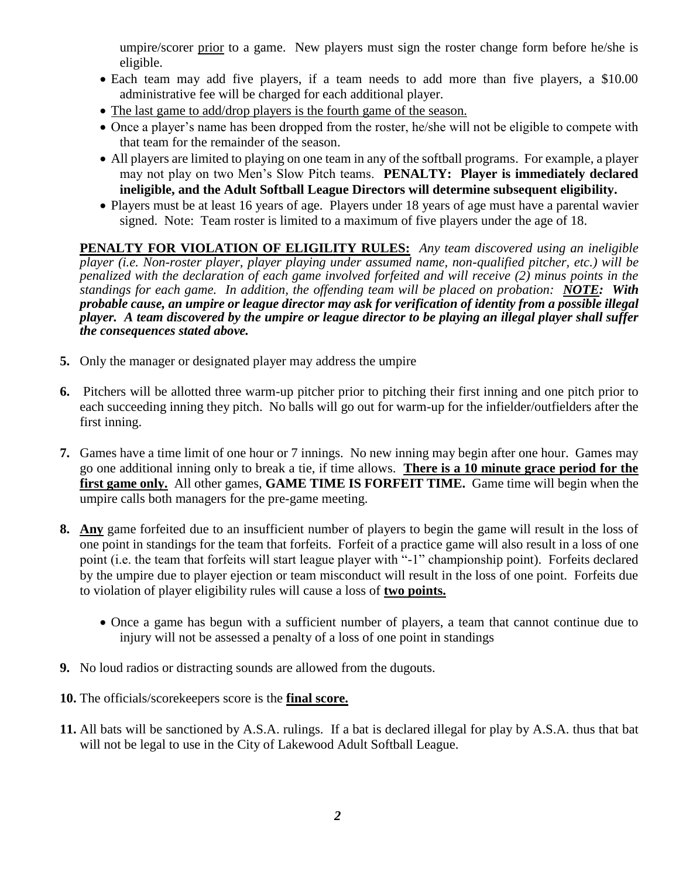umpire/scorer prior to a game. New players must sign the roster change form before he/she is eligible.

- Each team may add five players, if a team needs to add more than five players, a \$10.00 administrative fee will be charged for each additional player.
- The last game to add/drop players is the fourth game of the season.
- Once a player's name has been dropped from the roster, he/she will not be eligible to compete with that team for the remainder of the season.
- All players are limited to playing on one team in any of the softball programs. For example, a player may not play on two Men's Slow Pitch teams. **PENALTY: Player is immediately declared ineligible, and the Adult Softball League Directors will determine subsequent eligibility.**
- Players must be at least 16 years of age. Players under 18 years of age must have a parental wavier signed. Note: Team roster is limited to a maximum of five players under the age of 18.

**PENALTY FOR VIOLATION OF ELIGILITY RULES:** *Any team discovered using an ineligible player (i.e. Non-roster player, player playing under assumed name, non-qualified pitcher, etc.) will be penalized with the declaration of each game involved forfeited and will receive (2) minus points in the standings for each game. In addition, the offending team will be placed on probation: NOTE: With probable cause, an umpire or league director may ask for verification of identity from a possible illegal player. A team discovered by the umpire or league director to be playing an illegal player shall suffer the consequences stated above.*

- **5.** Only the manager or designated player may address the umpire
- **6.** Pitchers will be allotted three warm-up pitcher prior to pitching their first inning and one pitch prior to each succeeding inning they pitch. No balls will go out for warm-up for the infielder/outfielders after the first inning.
- **7.** Games have a time limit of one hour or 7 innings. No new inning may begin after one hour. Games may go one additional inning only to break a tie, if time allows. **There is a 10 minute grace period for the first game only.** All other games, **GAME TIME IS FORFEIT TIME.** Game time will begin when the umpire calls both managers for the pre-game meeting.
- **8. Any** game forfeited due to an insufficient number of players to begin the game will result in the loss of one point in standings for the team that forfeits. Forfeit of a practice game will also result in a loss of one point (i.e. the team that forfeits will start league player with "-1" championship point). Forfeits declared by the umpire due to player ejection or team misconduct will result in the loss of one point. Forfeits due to violation of player eligibility rules will cause a loss of **two points.**
	- Once a game has begun with a sufficient number of players, a team that cannot continue due to injury will not be assessed a penalty of a loss of one point in standings
- **9.** No loud radios or distracting sounds are allowed from the dugouts.
- **10.** The officials/scorekeepers score is the **final score.**
- **11.** All bats will be sanctioned by A.S.A. rulings. If a bat is declared illegal for play by A.S.A. thus that bat will not be legal to use in the City of Lakewood Adult Softball League.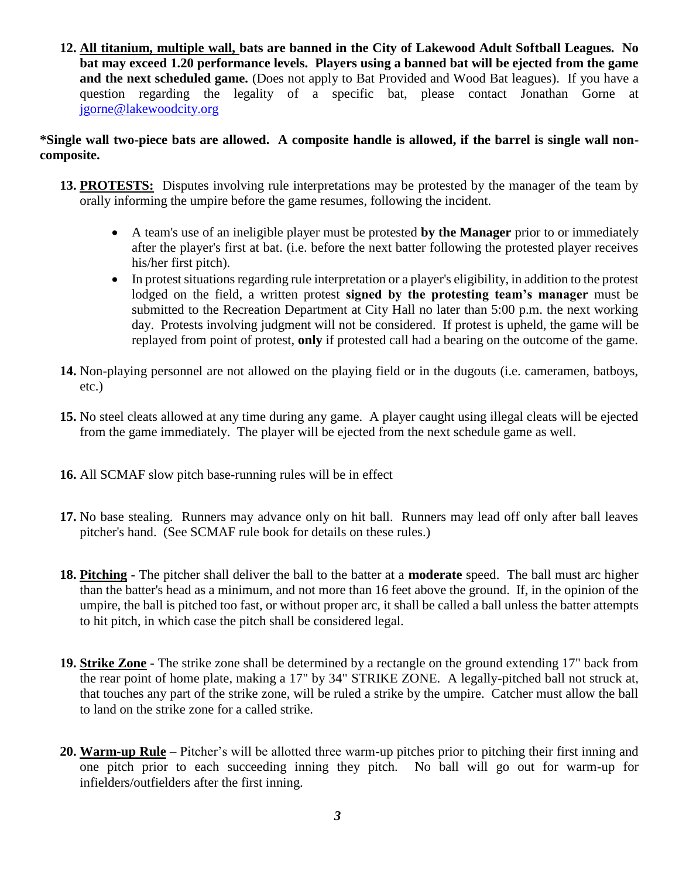**12. All titanium, multiple wall, bats are banned in the City of Lakewood Adult Softball Leagues. No bat may exceed 1.20 performance levels. Players using a banned bat will be ejected from the game**  and the next scheduled game. (Does not apply to Bat Provided and Wood Bat leagues). If you have a question regarding the legality of a specific bat, please contact Jonathan Gorne at [jgorne@lakewoodcity.org](mailto:jgorne@lakewoodcity.org)

#### **\*Single wall two-piece bats are allowed. A composite handle is allowed, if the barrel is single wall noncomposite.**

- **13. PROTESTS:** Disputes involving rule interpretations may be protested by the manager of the team by orally informing the umpire before the game resumes, following the incident.
	- A team's use of an ineligible player must be protested **by the Manager** prior to or immediately after the player's first at bat. (i.e. before the next batter following the protested player receives his/her first pitch).
	- In protest situations regarding rule interpretation or a player's eligibility, in addition to the protest lodged on the field, a written protest **signed by the protesting team's manager** must be submitted to the Recreation Department at City Hall no later than 5:00 p.m. the next working day. Protests involving judgment will not be considered. If protest is upheld, the game will be replayed from point of protest, **only** if protested call had a bearing on the outcome of the game.
- **14.** Non-playing personnel are not allowed on the playing field or in the dugouts (i.e. cameramen, batboys, etc.)
- **15.** No steel cleats allowed at any time during any game. A player caught using illegal cleats will be ejected from the game immediately. The player will be ejected from the next schedule game as well.
- **16.** All SCMAF slow pitch base-running rules will be in effect
- **17.** No base stealing. Runners may advance only on hit ball. Runners may lead off only after ball leaves pitcher's hand. (See SCMAF rule book for details on these rules.)
- **18. Pitching -** The pitcher shall deliver the ball to the batter at a **moderate** speed. The ball must arc higher than the batter's head as a minimum, and not more than 16 feet above the ground. If, in the opinion of the umpire, the ball is pitched too fast, or without proper arc, it shall be called a ball unless the batter attempts to hit pitch, in which case the pitch shall be considered legal.
- **19. Strike Zone -** The strike zone shall be determined by a rectangle on the ground extending 17" back from the rear point of home plate, making a 17" by 34" STRIKE ZONE. A legally-pitched ball not struck at, that touches any part of the strike zone, will be ruled a strike by the umpire. Catcher must allow the ball to land on the strike zone for a called strike.
- **20. Warm-up Rule** Pitcher's will be allotted three warm-up pitches prior to pitching their first inning and one pitch prior to each succeeding inning they pitch. No ball will go out for warm-up for infielders/outfielders after the first inning.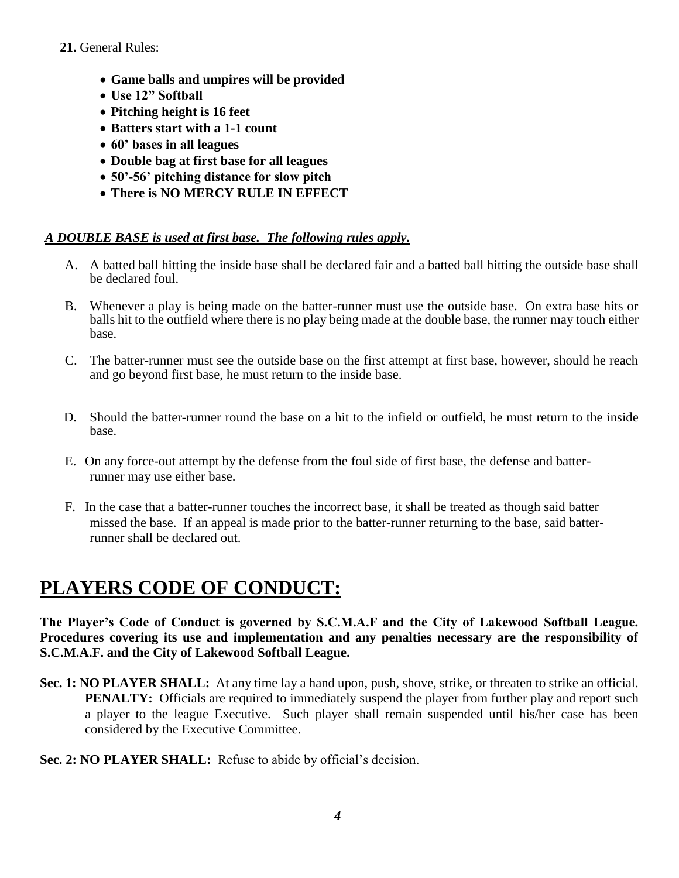#### **21.** General Rules:

- **Game balls and umpires will be provided**
- **Use 12" Softball**
- **Pitching height is 16 feet**
- **Batters start with a 1-1 count**
- **60' bases in all leagues**
- **Double bag at first base for all leagues**
- **50'-56' pitching distance for slow pitch**
- **There is NO MERCY RULE IN EFFECT**

### *A DOUBLE BASE is used at first base. The following rules apply.*

- A. A batted ball hitting the inside base shall be declared fair and a batted ball hitting the outside base shall be declared foul.
- B. Whenever a play is being made on the batter-runner must use the outside base. On extra base hits or balls hit to the outfield where there is no play being made at the double base, the runner may touch either base.
- C. The batter-runner must see the outside base on the first attempt at first base, however, should he reach and go beyond first base, he must return to the inside base.
- D. Should the batter-runner round the base on a hit to the infield or outfield, he must return to the inside base.
- E. On any force-out attempt by the defense from the foul side of first base, the defense and batterrunner may use either base.
- F. In the case that a batter-runner touches the incorrect base, it shall be treated as though said batter missed the base. If an appeal is made prior to the batter-runner returning to the base, said batterrunner shall be declared out.

# **PLAYERS CODE OF CONDUCT:**

**The Player's Code of Conduct is governed by S.C.M.A.F and the City of Lakewood Softball League. Procedures covering its use and implementation and any penalties necessary are the responsibility of S.C.M.A.F. and the City of Lakewood Softball League.**

**Sec. 1: NO PLAYER SHALL:** At any time lay a hand upon, push, shove, strike, or threaten to strike an official. **PENALTY:** Officials are required to immediately suspend the player from further play and report such a player to the league Executive. Such player shall remain suspended until his/her case has been considered by the Executive Committee.

#### **Sec. 2: NO PLAYER SHALL:** Refuse to abide by official's decision.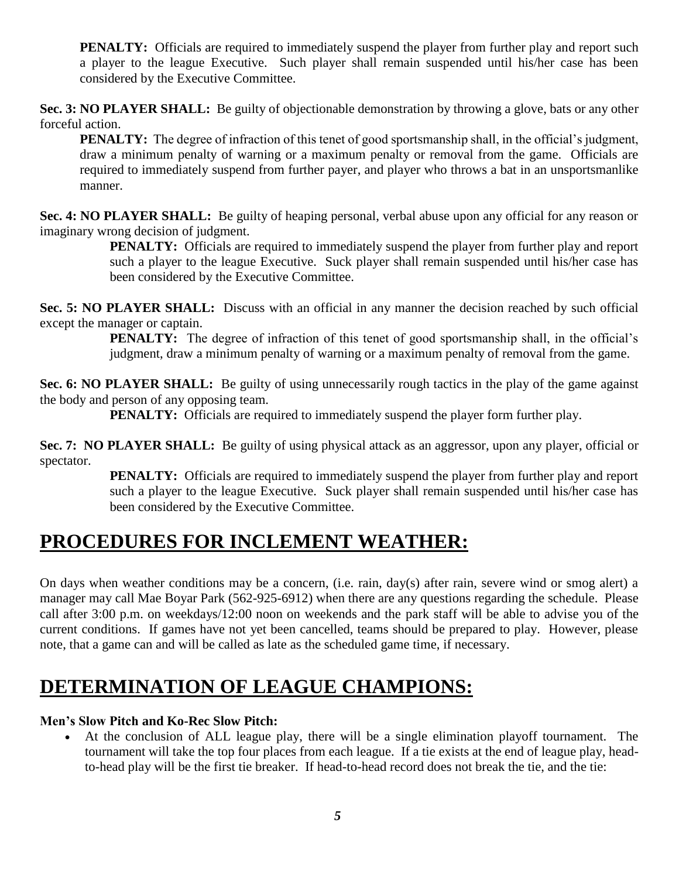**PENALTY:** Officials are required to immediately suspend the player from further play and report such a player to the league Executive. Such player shall remain suspended until his/her case has been considered by the Executive Committee.

**Sec. 3: NO PLAYER SHALL:** Be guilty of objectionable demonstration by throwing a glove, bats or any other forceful action.

**PENALTY:** The degree of infraction of this tenet of good sportsmanship shall, in the official's judgment, draw a minimum penalty of warning or a maximum penalty or removal from the game. Officials are required to immediately suspend from further payer, and player who throws a bat in an unsportsmanlike manner.

**Sec. 4: NO PLAYER SHALL:** Be guilty of heaping personal, verbal abuse upon any official for any reason or imaginary wrong decision of judgment.

**PENALTY:** Officials are required to immediately suspend the player from further play and report such a player to the league Executive. Suck player shall remain suspended until his/her case has been considered by the Executive Committee.

**Sec. 5: NO PLAYER SHALL:** Discuss with an official in any manner the decision reached by such official except the manager or captain.

> **PENALTY:** The degree of infraction of this tenet of good sportsmanship shall, in the official's judgment, draw a minimum penalty of warning or a maximum penalty of removal from the game.

**Sec. 6: NO PLAYER SHALL:** Be guilty of using unnecessarily rough tactics in the play of the game against the body and person of any opposing team.

**PENALTY:** Officials are required to immediately suspend the player form further play.

**Sec. 7: NO PLAYER SHALL:** Be guilty of using physical attack as an aggressor, upon any player, official or spectator.

**PENALTY:** Officials are required to immediately suspend the player from further play and report such a player to the league Executive. Suck player shall remain suspended until his/her case has been considered by the Executive Committee.

## **PROCEDURES FOR INCLEMENT WEATHER:**

On days when weather conditions may be a concern, (i.e. rain, day(s) after rain, severe wind or smog alert) a manager may call Mae Boyar Park (562-925-6912) when there are any questions regarding the schedule. Please call after 3:00 p.m. on weekdays/12:00 noon on weekends and the park staff will be able to advise you of the current conditions. If games have not yet been cancelled, teams should be prepared to play. However, please note, that a game can and will be called as late as the scheduled game time, if necessary.

# **DETERMINATION OF LEAGUE CHAMPIONS:**

### **Men's Slow Pitch and Ko-Rec Slow Pitch:**

 At the conclusion of ALL league play, there will be a single elimination playoff tournament. The tournament will take the top four places from each league. If a tie exists at the end of league play, headto-head play will be the first tie breaker. If head-to-head record does not break the tie, and the tie: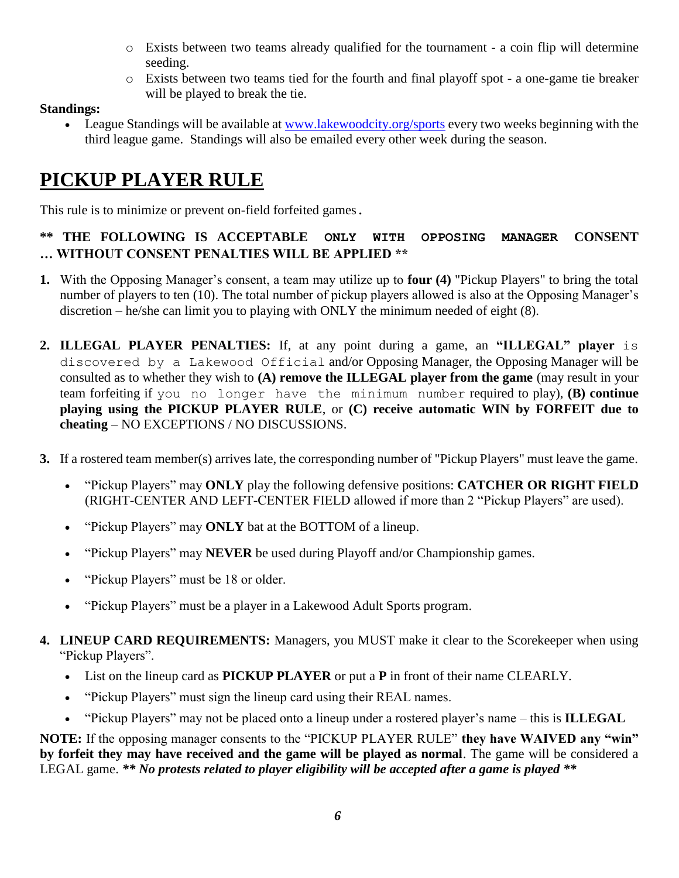- o Exists between two teams already qualified for the tournament a coin flip will determine seeding.
- o Exists between two teams tied for the fourth and final playoff spot a one-game tie breaker will be played to break the tie.

### **Standings:**

• League Standings will be available at [www.lakewoodcity.org/sports](http://www.lakewoodcity.org/sports) every two weeks beginning with the third league game. Standings will also be emailed every other week during the season.

# **PICKUP PLAYER RULE**

This rule is to minimize or prevent on-field forfeited games.

### **\*\* THE FOLLOWING IS ACCEPTABLE ONLY WITH OPPOSING MANAGER CONSENT … WITHOUT CONSENT PENALTIES WILL BE APPLIED \*\***

- **1.** With the Opposing Manager's consent, a team may utilize up to **four (4)** "Pickup Players" to bring the total number of players to ten (10). The total number of pickup players allowed is also at the Opposing Manager's discretion – he/she can limit you to playing with ONLY the minimum needed of eight (8).
- **2. ILLEGAL PLAYER PENALTIES:** If, at any point during a game, an **"ILLEGAL" player** is discovered by a Lakewood Official and/or Opposing Manager, the Opposing Manager will be consulted as to whether they wish to **(A) remove the ILLEGAL player from the game** (may result in your team forfeiting if you no longer have the minimum number required to play), **(B) continue playing using the PICKUP PLAYER RULE**, or **(C) receive automatic WIN by FORFEIT due to cheating** – NO EXCEPTIONS / NO DISCUSSIONS.
- **3.** If a rostered team member(s) arrives late, the corresponding number of "Pickup Players" must leave the game.
	- "Pickup Players" may **ONLY** play the following defensive positions: **CATCHER OR RIGHT FIELD**  (RIGHT-CENTER AND LEFT-CENTER FIELD allowed if more than 2 "Pickup Players" are used).
	- "Pickup Players" may **ONLY** bat at the BOTTOM of a lineup.
	- "Pickup Players" may **NEVER** be used during Playoff and/or Championship games.
	- "Pickup Players" must be 18 or older.
	- "Pickup Players" must be a player in a Lakewood Adult Sports program.
- **4. LINEUP CARD REQUIREMENTS:** Managers, you MUST make it clear to the Scorekeeper when using "Pickup Players".
	- List on the lineup card as **PICKUP PLAYER** or put a **P** in front of their name CLEARLY.
	- "Pickup Players" must sign the lineup card using their REAL names.
	- "Pickup Players" may not be placed onto a lineup under a rostered player's name this is **ILLEGAL**

**NOTE:** If the opposing manager consents to the "PICKUP PLAYER RULE" **they have WAIVED any "win" by forfeit they may have received and the game will be played as normal**. The game will be considered a LEGAL game. *\*\* No protests related to player eligibility will be accepted after a game is played \*\**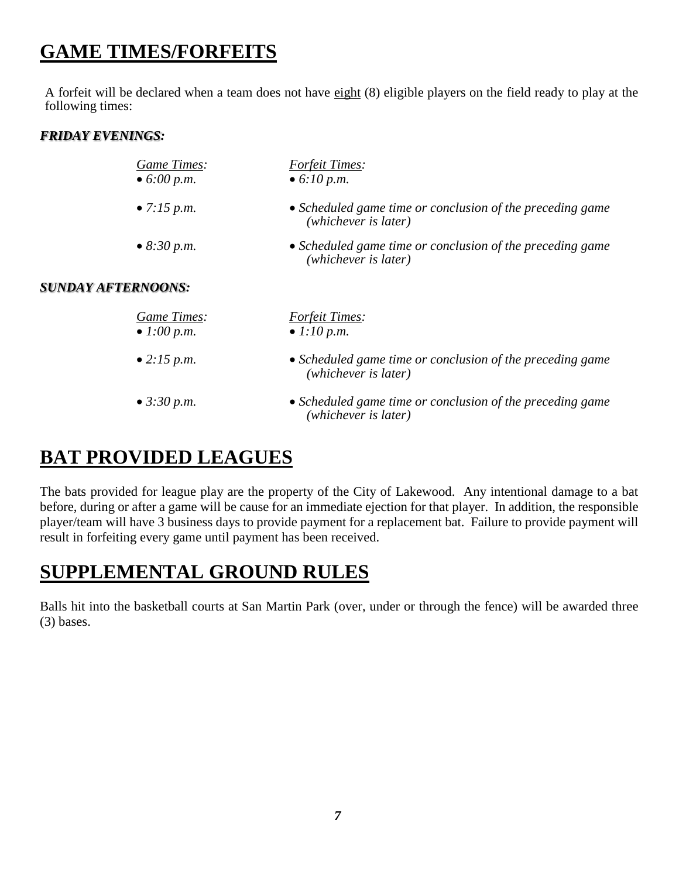# **GAME TIMES/FORFEITS**

A forfeit will be declared when a team does not have eight (8) eligible players on the field ready to play at the following times:

#### *FRIDAY EVENINGS:*

| Game Times:                | <b>Forfeit Times:</b>                                                             |  |  |  |
|----------------------------|-----------------------------------------------------------------------------------|--|--|--|
| • $6:00 p.m.$              | • 6:10 p.m.                                                                       |  |  |  |
| • 7:15 p.m.                | • Scheduled game time or conclusion of the preceding game<br>(whichever is later) |  |  |  |
| • 8:30 p.m.                | • Scheduled game time or conclusion of the preceding game<br>(whichever is later) |  |  |  |
| <b>SUNDAY AFTERNOONS:</b>  |                                                                                   |  |  |  |
| Game Times:<br>• 1:00 p.m. | <b>Forfeit Times:</b><br>• 1:10 p.m.                                              |  |  |  |
| • 2:15 p.m.                | • Scheduled game time or conclusion of the preceding game<br>(whichever is later) |  |  |  |
| • 3:30 p.m.                | • Scheduled game time or conclusion of the preceding game<br>(whichever is later) |  |  |  |

## **BAT PROVIDED LEAGUES**

The bats provided for league play are the property of the City of Lakewood. Any intentional damage to a bat before, during or after a game will be cause for an immediate ejection for that player. In addition, the responsible player/team will have 3 business days to provide payment for a replacement bat. Failure to provide payment will result in forfeiting every game until payment has been received.

## **SUPPLEMENTAL GROUND RULES**

Balls hit into the basketball courts at San Martin Park (over, under or through the fence) will be awarded three (3) bases.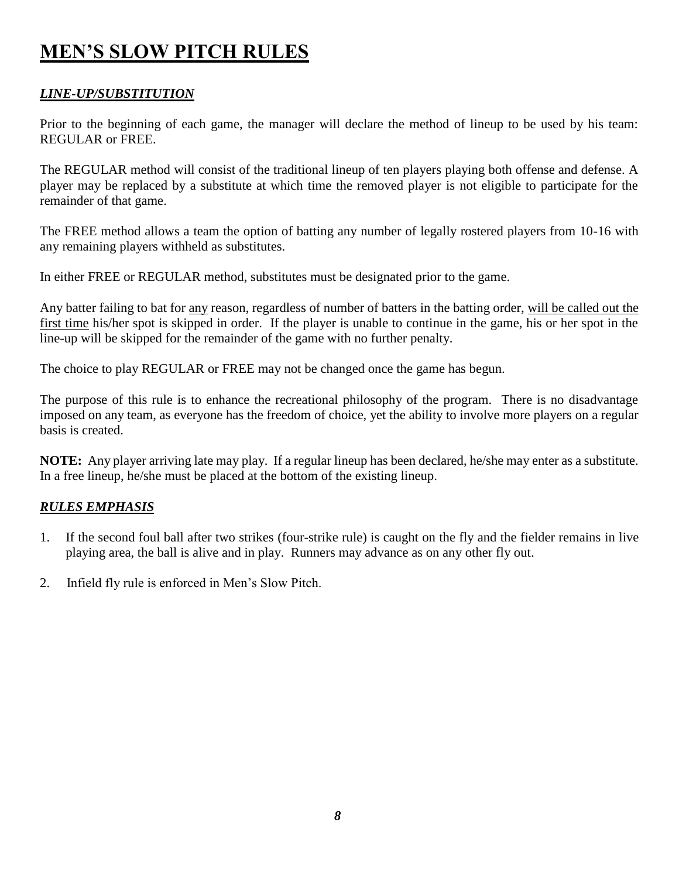# **MEN'S SLOW PITCH RULES**

### *LINE-UP/SUBSTITUTION*

Prior to the beginning of each game, the manager will declare the method of lineup to be used by his team: REGULAR or FREE.

The REGULAR method will consist of the traditional lineup of ten players playing both offense and defense. A player may be replaced by a substitute at which time the removed player is not eligible to participate for the remainder of that game.

The FREE method allows a team the option of batting any number of legally rostered players from 10-16 with any remaining players withheld as substitutes.

In either FREE or REGULAR method, substitutes must be designated prior to the game.

Any batter failing to bat for any reason, regardless of number of batters in the batting order, will be called out the first time his/her spot is skipped in order. If the player is unable to continue in the game, his or her spot in the line-up will be skipped for the remainder of the game with no further penalty.

The choice to play REGULAR or FREE may not be changed once the game has begun.

The purpose of this rule is to enhance the recreational philosophy of the program. There is no disadvantage imposed on any team, as everyone has the freedom of choice, yet the ability to involve more players on a regular basis is created.

**NOTE:** Any player arriving late may play. If a regular lineup has been declared, he/she may enter as a substitute. In a free lineup, he/she must be placed at the bottom of the existing lineup.

### *RULES EMPHASIS*

- 1. If the second foul ball after two strikes (four-strike rule) is caught on the fly and the fielder remains in live playing area, the ball is alive and in play. Runners may advance as on any other fly out.
- 2. Infield fly rule is enforced in Men's Slow Pitch.